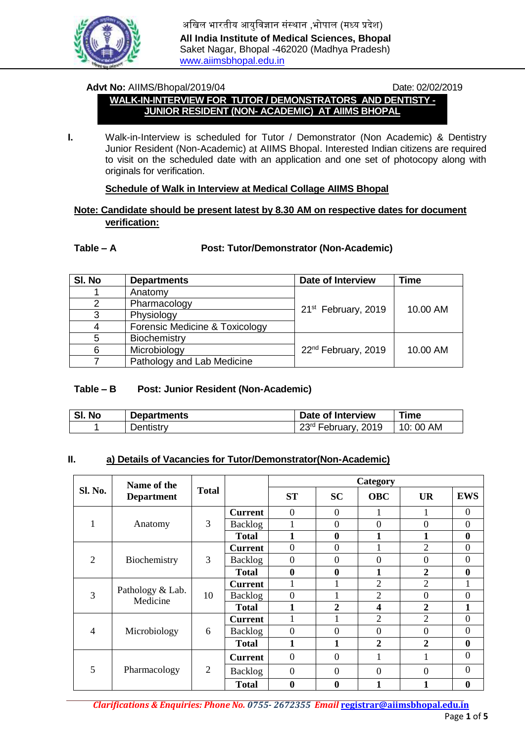

## **Advt No:** AIIMS/Bhopal/2019/04 Date: 02/02/2019

## **WALK-IN-INTERVIEW FOR TUTOR / DEMONSTRATORS AND DENTISTY - JUNIOR RESIDENT (NON- ACADEMIC) AT AIIMS BHOPAL**

**I.** Walk-in-Interview is scheduled for Tutor / Demonstrator (Non Academic) & Dentistry Junior Resident (Non-Academic) at AIIMS Bhopal. Interested Indian citizens are required to visit on the scheduled date with an application and one set of photocopy along with originals for verification.

## **Schedule of Walk in Interview at Medical Collage AIIMS Bhopal**

## **Note: Candidate should be present latest by 8.30 AM on respective dates for document verification:**

## **Table – A Post: Tutor/Demonstrator (Non-Academic)**

| SI. No | <b>Departments</b>             | <b>Date of Interview</b>        | <b>Time</b> |  |  |
|--------|--------------------------------|---------------------------------|-------------|--|--|
|        | Anatomy                        |                                 |             |  |  |
|        | Pharmacology                   | 21 <sup>st</sup> February, 2019 | 10.00 AM    |  |  |
| 3      | Physiology                     |                                 |             |  |  |
|        | Forensic Medicine & Toxicology |                                 |             |  |  |
| 5      | Biochemistry                   |                                 |             |  |  |
| 6      | Microbiology                   | 22 <sup>nd</sup> February, 2019 | 10.00 AM    |  |  |
|        | Pathology and Lab Medicine     |                                 |             |  |  |

#### **Table – B Post: Junior Resident (Non-Academic)**

| SI. No | <b>Departments</b> | Date of Interview               | Time     |
|--------|--------------------|---------------------------------|----------|
|        | Dentistry          | 23 <sup>rd</sup> February, 2019 | 10:00 AM |

#### **II. a) Details of Vacancies for Tutor/Demonstrator(Non-Academic)**

|         | Name of the<br><b>Department</b> | <b>Total</b> |                | Category         |                  |                         |                |                  |
|---------|----------------------------------|--------------|----------------|------------------|------------------|-------------------------|----------------|------------------|
| Sl. No. |                                  |              |                | <b>ST</b>        | <b>SC</b>        | <b>OBC</b>              | <b>UR</b>      | <b>EWS</b>       |
|         | Anatomy                          | 3            | <b>Current</b> | $\mathbf{0}$     | $\boldsymbol{0}$ |                         |                | $\overline{0}$   |
|         |                                  |              | Backlog        |                  | $\mathbf{0}$     | $\overline{0}$          | $\overline{0}$ | $\boldsymbol{0}$ |
|         |                                  |              | <b>Total</b>   |                  | $\bf{0}$         |                         |                | $\boldsymbol{0}$ |
| 2       | Biochemistry                     | 3            | <b>Current</b> | $\boldsymbol{0}$ | $\mathbf{0}$     |                         | $\overline{2}$ | $\boldsymbol{0}$ |
|         |                                  |              | Backlog        | $\overline{0}$   | $\theta$         | $\theta$                | $\overline{0}$ | $\boldsymbol{0}$ |
|         |                                  |              | <b>Total</b>   | $\boldsymbol{0}$ | $\bf{0}$         | 1                       | $\overline{2}$ | $\bf{0}$         |
|         | Pathology & Lab.<br>Medicine     | 10           | <b>Current</b> |                  |                  | $\overline{2}$          | $\overline{2}$ |                  |
| 3       |                                  |              | Backlog        | $\overline{0}$   |                  | $\overline{2}$          | $\overline{0}$ | $\overline{0}$   |
|         |                                  |              | <b>Total</b>   | 1                | $\overline{2}$   | $\overline{\mathbf{4}}$ | $\overline{2}$ | 1                |
| 4       | Microbiology                     | 6            | <b>Current</b> |                  |                  | $\overline{2}$          | $\overline{2}$ | $\overline{0}$   |
|         |                                  |              | Backlog        | $\overline{0}$   | $\overline{0}$   | $\overline{0}$          | $\overline{0}$ | $\overline{0}$   |
|         |                                  |              | <b>Total</b>   | 1                | 1                | $\overline{2}$          | $\overline{2}$ | $\bf{0}$         |
| 5       | Pharmacology                     | 2            | <b>Current</b> | $\overline{0}$   | $\mathbf{0}$     | 1                       |                | $\theta$         |
|         |                                  |              | <b>Backlog</b> | $\overline{0}$   | $\theta$         | 0                       | 0              | $\overline{0}$   |
|         |                                  |              | <b>Total</b>   | $\mathbf{0}$     | 0                |                         |                | $\bf{0}$         |

*Clarifications & Enquiries: Phone No. 0755- 2672355 Email* **registrar@aiimsbhopal.edu.in**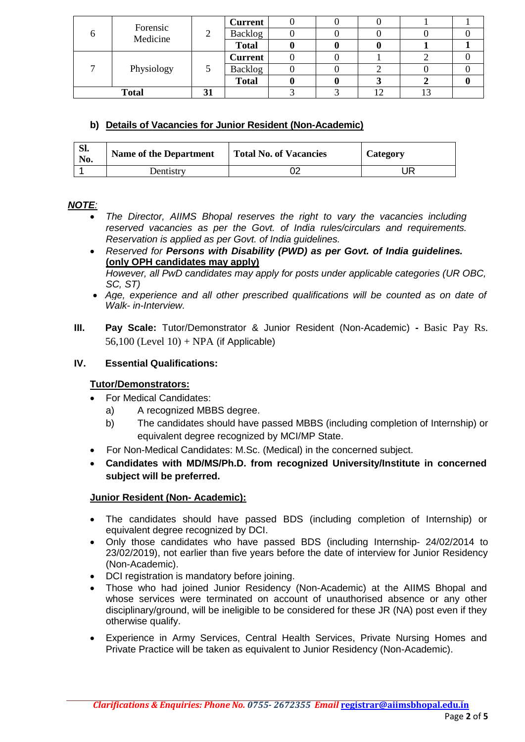| o                  | Forensic<br>Medicine |               | <b>Current</b> |  |  |  |
|--------------------|----------------------|---------------|----------------|--|--|--|
|                    |                      |               | Backlog        |  |  |  |
|                    |                      |               | <b>Total</b>   |  |  |  |
|                    | Physiology           | $\mathcal{D}$ | <b>Current</b> |  |  |  |
|                    |                      |               | Backlog        |  |  |  |
|                    |                      |               | <b>Total</b>   |  |  |  |
| <b>Total</b><br>IJ |                      |               |                |  |  |  |

# **b) Details of Vacancies for Junior Resident (Non-Academic)**

| Sl.<br>No. | <b>Name of the Department</b> | <b>Total No. of Vacancies</b> | Category |
|------------|-------------------------------|-------------------------------|----------|
|            | Dentistrv                     |                               | JR       |

# *NOTE:*

- *The Director, AIIMS Bhopal reserves the right to vary the vacancies including reserved vacancies as per the Govt. of India rules/circulars and requirements. Reservation is applied as per Govt. of India guidelines.*
- *Reserved for Persons with Disability (PWD) as per Govt. of India guidelines.*  **(only OPH candidates may apply)** *However, all PwD candidates may apply for posts under applicable categories (UR OBC,*

*SC, ST)*

- *Age, experience and all other prescribed qualifications will be counted as on date of Walk- in-Interview.*
- **III. Pay Scale:** Tutor/Demonstrator & Junior Resident (Non-Academic) **-** Basic Pay Rs. 56,100 (Level  $10$ ) + NPA (if Applicable)

# **IV. Essential Qualifications:**

# **Tutor/Demonstrators:**

- For Medical Candidates:
	- a) A recognized MBBS degree.
	- b) The candidates should have passed MBBS (including completion of Internship) or equivalent degree recognized by MCI/MP State.
- For Non-Medical Candidates: M.Sc. (Medical) in the concerned subject.
- **Candidates with MD/MS/Ph.D. from recognized University/Institute in concerned subject will be preferred.**

## **Junior Resident (Non- Academic):**

- The candidates should have passed BDS (including completion of Internship) or equivalent degree recognized by DCI.
- Only those candidates who have passed BDS (including Internship- 24/02/2014 to 23/02/2019), not earlier than five years before the date of interview for Junior Residency (Non-Academic).
- DCI registration is mandatory before joining.
- Those who had joined Junior Residency (Non-Academic) at the AIIMS Bhopal and whose services were terminated on account of unauthorised absence or any other disciplinary/ground, will be ineligible to be considered for these JR (NA) post even if they otherwise qualify.
- Experience in Army Services, Central Health Services, Private Nursing Homes and Private Practice will be taken as equivalent to Junior Residency (Non-Academic).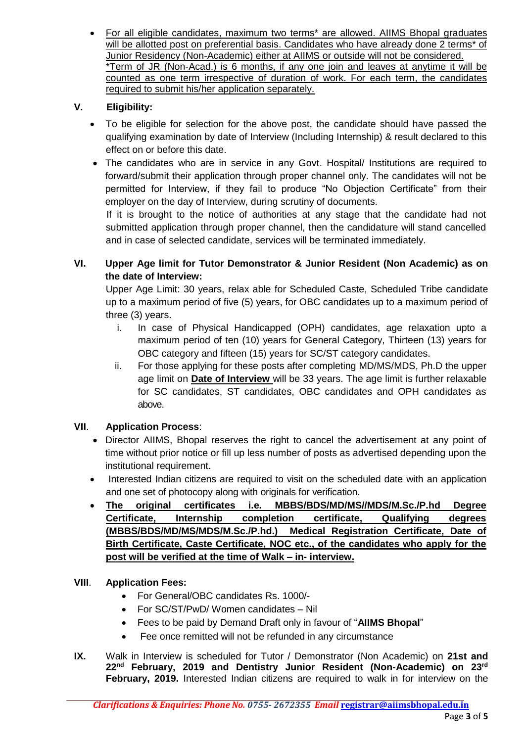For all eligible candidates, maximum two terms\* are allowed. AIIMS Bhopal graduates will be allotted post on preferential basis. Candidates who have already done 2 terms<sup>\*</sup> of Junior Residency (Non-Academic) either at AIIMS or outside will not be considered. \*Term of JR (Non-Acad.) is 6 months, if any one join and leaves at anytime it will be counted as one term irrespective of duration of work. For each term, the candidates required to submit his/her application separately.

# **V. Eligibility:**

- To be eligible for selection for the above post, the candidate should have passed the qualifying examination by date of Interview (Including Internship) & result declared to this effect on or before this date.
- The candidates who are in service in any Govt. Hospital/ Institutions are required to forward/submit their application through proper channel only. The candidates will not be permitted for Interview, if they fail to produce "No Objection Certificate" from their employer on the day of Interview, during scrutiny of documents.

If it is brought to the notice of authorities at any stage that the candidate had not submitted application through proper channel, then the candidature will stand cancelled and in case of selected candidate, services will be terminated immediately.

**VI. Upper Age limit for Tutor Demonstrator & Junior Resident (Non Academic) as on the date of Interview:**

Upper Age Limit: 30 years, relax able for Scheduled Caste, Scheduled Tribe candidate up to a maximum period of five (5) years, for OBC candidates up to a maximum period of three (3) years.

- i. In case of Physical Handicapped (OPH) candidates, age relaxation upto a maximum period of ten (10) years for General Category, Thirteen (13) years for OBC category and fifteen (15) years for SC/ST category candidates.
- ii. For those applying for these posts after completing MD/MS/MDS, Ph.D the upper age limit on **Date of Interview** will be 33 years. The age limit is further relaxable for SC candidates, ST candidates, OBC candidates and OPH candidates as above.

# **VII**. **Application Process**:

- Director AIIMS, Bhopal reserves the right to cancel the advertisement at any point of time without prior notice or fill up less number of posts as advertised depending upon the institutional requirement.
- Interested Indian citizens are required to visit on the scheduled date with an application and one set of photocopy along with originals for verification.
- **The original certificates i.e. MBBS/BDS/MD/MS//MDS/M.Sc./P.hd Degree Certificate, Internship completion certificate, Qualifying degrees (MBBS/BDS/MD/MS/MDS/M.Sc./P.hd.) Medical Registration Certificate, Date of Birth Certificate, Caste Certificate, NOC etc., of the candidates who apply for the post will be verified at the time of Walk – in- interview.**

# **VIII**. **Application Fees:**

- For General/OBC candidates Rs. 1000/-
- For SC/ST/PwD/ Women candidates Nil
- Fees to be paid by Demand Draft only in favour of "**AIIMS Bhopal**"
- Fee once remitted will not be refunded in any circumstance
- **IX.** Walk in Interview is scheduled for Tutor / Demonstrator (Non Academic) on **21st and 22nd February, 2019 and Dentistry Junior Resident (Non-Academic) on 23rd February, 2019.** Interested Indian citizens are required to walk in for interview on the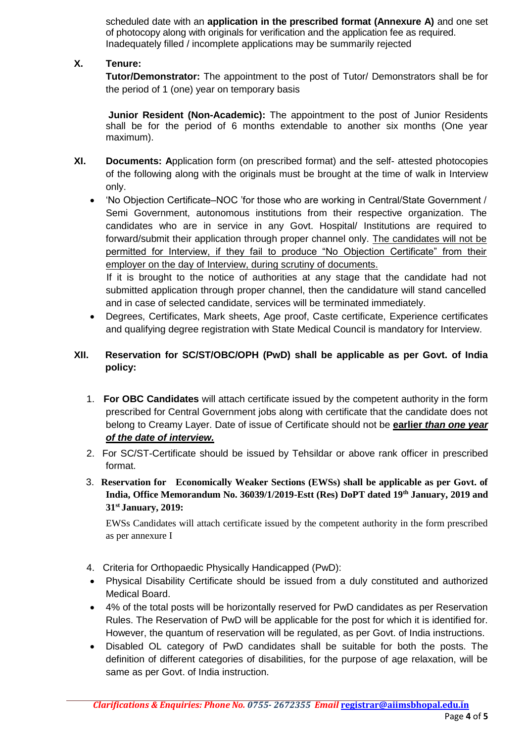scheduled date with an **application in the prescribed format (Annexure A)** and one set of photocopy along with originals for verification and the application fee as required. Inadequately filled / incomplete applications may be summarily rejected

# **X. Tenure:**

**Tutor/Demonstrator:** The appointment to the post of Tutor/ Demonstrators shall be for the period of 1 (one) year on temporary basis

**Junior Resident (Non-Academic):** The appointment to the post of Junior Residents shall be for the period of 6 months extendable to another six months (One year maximum).

- **XI. Documents: A**pplication form (on prescribed format) and the self- attested photocopies of the following along with the originals must be brought at the time of walk in Interview only.
	- 'No Objection Certificate–NOC 'for those who are working in Central/State Government / Semi Government, autonomous institutions from their respective organization. The candidates who are in service in any Govt. Hospital/ Institutions are required to forward/submit their application through proper channel only. The candidates will not be permitted for Interview, if they fail to produce "No Objection Certificate" from their employer on the day of Interview, during scrutiny of documents.

If it is brought to the notice of authorities at any stage that the candidate had not submitted application through proper channel, then the candidature will stand cancelled and in case of selected candidate, services will be terminated immediately.

 Degrees, Certificates, Mark sheets, Age proof, Caste certificate, Experience certificates and qualifying degree registration with State Medical Council is mandatory for Interview.

# **XII. Reservation for SC/ST/OBC/OPH (PwD) shall be applicable as per Govt. of India policy:**

- 1. **For OBC Candidates** will attach certificate issued by the competent authority in the form prescribed for Central Government jobs along with certificate that the candidate does not belong to Creamy Layer. Date of issue of Certificate should not be **earlier** *than one year of the date of interview.*
- 2. For SC/ST-Certificate should be issued by Tehsildar or above rank officer in prescribed format.
- 3. **Reservation for Economically Weaker Sections (EWSs) shall be applicable as per Govt. of India, Office Memorandum No. 36039/1/2019-Estt (Res) DoPT dated 19th January, 2019 and 31st January, 2019:**

EWSs Candidates will attach certificate issued by the competent authority in the form prescribed as per annexure I

- 4. Criteria for Orthopaedic Physically Handicapped (PwD):
- Physical Disability Certificate should be issued from a duly constituted and authorized Medical Board.
- 4% of the total posts will be horizontally reserved for PwD candidates as per Reservation Rules. The Reservation of PwD will be applicable for the post for which it is identified for. However, the quantum of reservation will be regulated, as per Govt. of India instructions.
- Disabled OL category of PwD candidates shall be suitable for both the posts. The definition of different categories of disabilities, for the purpose of age relaxation, will be same as per Govt. of India instruction.